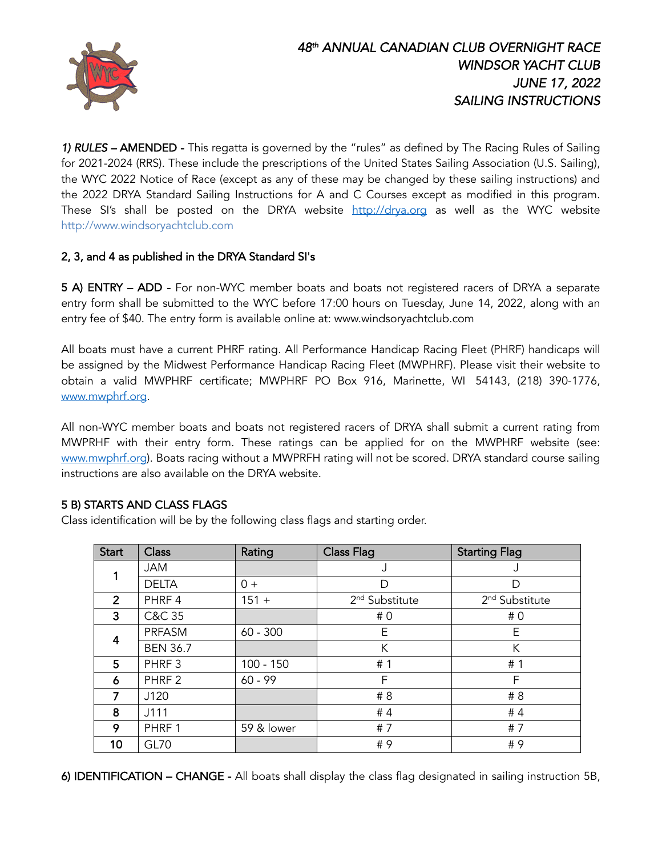

*1) RULES –* AMENDED -This regatta is governed by the "rules" as defined by The Racing Rules of Sailing for 2021-2024 (RRS). These include the prescriptions of the United States Sailing Association (U.S. Sailing), the WYC 2022 Notice of Race (except as any of these may be changed by these sailing instructions) and the 2022 DRYA Standard Sailing Instructions for A and C Courses except as modified in this program. These SI's shall be posted on the DRYA website http://drya.org as well as the WYC website http://www.windsoryachtclub.com

### 2, 3, and 4 as published in the DRYA Standard SI's

5 A) ENTRY – ADD - For non-WYC member boats and boats not registered racers of DRYA a separate entry form shall be submitted to the WYC before 17:00 hours on Tuesday, June 14, 2022, along with an entry fee of \$40. The entry form is available online at: www.windsoryachtclub.com

All boats must have a current PHRF rating. All Performance Handicap Racing Fleet (PHRF) handicaps will be assigned by the Midwest Performance Handicap Racing Fleet (MWPHRF). Please visit their website to obtain a valid MWPHRF certificate; MWPHRF PO Box 916, Marinette, WI 54143, (218) 390-1776, www.mwphrf.org.

All non-WYC member boats and boats not registered racers of DRYA shall submit a current rating from MWPRHF with their entry form. These ratings can be applied for on the MWPHRF website (see: www.mwphrf.org). Boats racing without a MWPRFH rating will not be scored. DRYA standard course sailing instructions are also available on the DRYA website.

### 5 B) STARTS AND CLASS FLAGS

Class identification will be by the following class flags and starting order.

| <b>Start</b>   | <b>Class</b>      | Rating      | <b>Class Flag</b>          | <b>Starting Flag</b>       |
|----------------|-------------------|-------------|----------------------------|----------------------------|
|                | <b>JAM</b>        |             | J                          | J                          |
|                | <b>DELTA</b>      | $0 +$       | D                          | D                          |
| $\overline{2}$ | PHRF 4            | $151 +$     | 2 <sup>nd</sup> Substitute | 2 <sup>nd</sup> Substitute |
| 3              | C&C 35            |             | #0                         | #0                         |
| 4              | PRFASM            | $60 - 300$  | E                          | E                          |
|                | <b>BEN 36.7</b>   |             | K                          | K                          |
| 5              | PHRF <sub>3</sub> | $100 - 150$ | #1                         | # 1                        |
| 6              | PHRF <sub>2</sub> | $60 - 99$   | F                          | F                          |
| 7              | J120              |             | # 8                        | # 8                        |
| 8              | J111              |             | #4                         | #4                         |
| 9              | PHRF 1            | 59 & lower  | #7                         | #7                         |
| 10             | <b>GL70</b>       |             | #9                         | #9                         |

6) IDENTIFICATION – CHANGE - All boats shall display the class flag designated in sailing instruction 5B,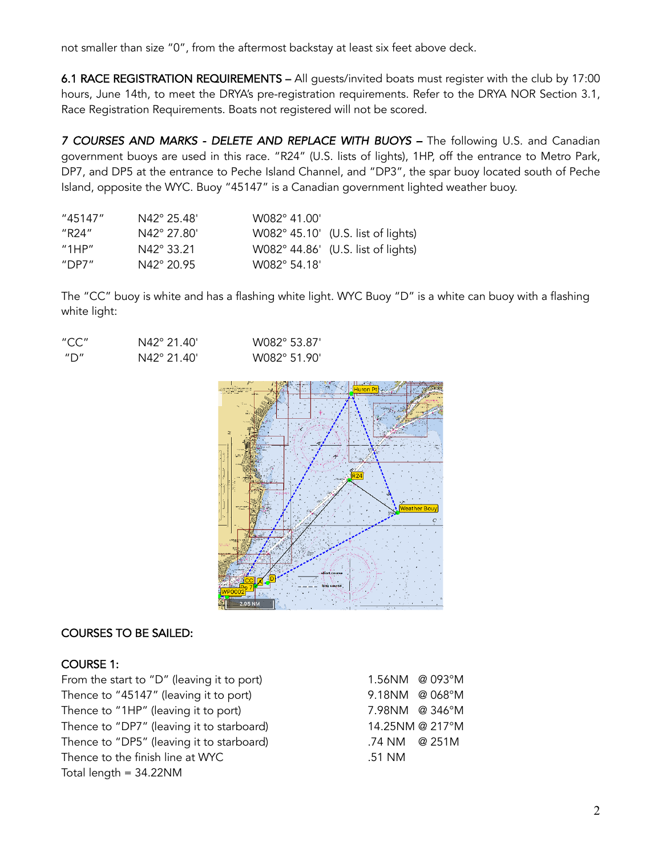not smaller than size "0", from the aftermost backstay at least six feet above deck.

6.1 RACE REGISTRATION REQUIREMENTS – All guests/invited boats must register with the club by 17:00 hours, June 14th, to meet the DRYA's pre-registration requirements. Refer to the DRYA NOR Section 3.1, Race Registration Requirements. Boats not registered will not be scored.

7 COURSES AND MARKS - DELETE AND REPLACE WITH BUOYS - The following U.S. and Canadian government buoys areused in this race. "R24" (U.S. lists of lights), 1HP, off the entrance to Metro Park, DP7, and DP5 at the entrance to Peche Island Channel, and "DP3", the spar buoy located south of Peche Island, opposite the WYC. Buoy "45147" is a Canadian government lighted weather buoy.

| "45147"                                 | $N42^{\circ}$ 25.48' | W082° 41.00' |                                    |
|-----------------------------------------|----------------------|--------------|------------------------------------|
| "R24"                                   | N42° 27.80'          |              | W082° 45.10' (U.S. list of lights) |
| $^{\prime\prime}$ 1HP $^{\prime\prime}$ | N42° 33.21           |              | W082° 44.86' (U.S. list of lights) |
| "DP7 $"$                                | N42° 20.95           | W082° 54.18' |                                    |

The "CC" buoy is white and has a flashing white light. WYC Buoy "D" is a white can buoy with a flashing white light:

| "CC" | N42° 21.40' | W082° 53.87' |
|------|-------------|--------------|
| ‴∩″  | N42° 21.40' | W082° 51.90' |



#### COURSES TO BE SAILED:

#### COURSE 1:

From the start to "D" (leaving it to port) 1.56NM @ 093°M Thence to "45147" (leaving it to port) 9.18NM @ 068°M Thence to "1HP" (leaving it to port) 7.98NM @ 346°M Thence to "DP7" (leaving it to starboard) 14.25NM @ 217°M Thence to "DP5" (leaving it to starboard) .74 NM @ 251M Thence to the finish line at WYC .51 NM Total length = 34.22NM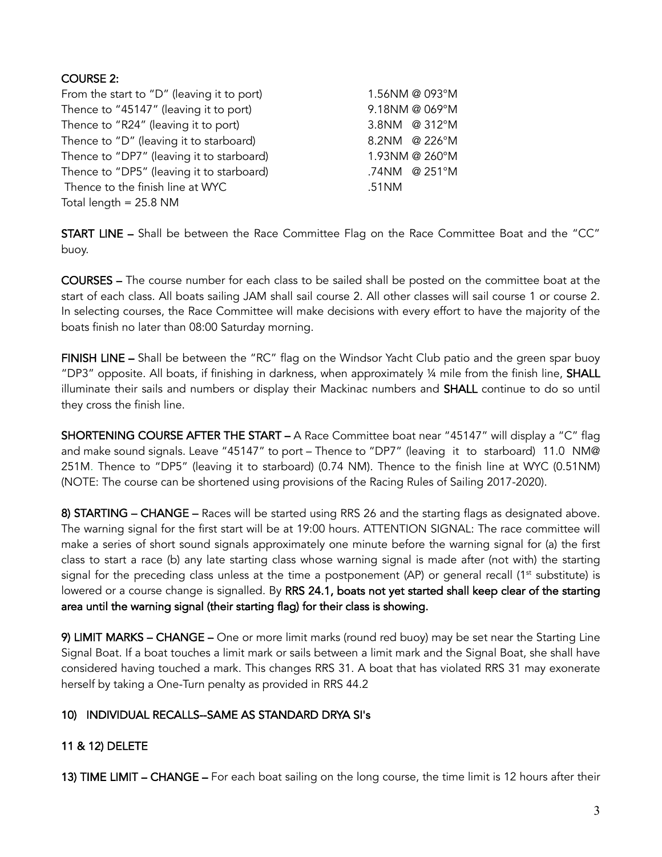## COURSE 2:

| From the start to "D" (leaving it to port) | 1.56NM @ 093°M |
|--------------------------------------------|----------------|
| Thence to "45147" (leaving it to port)     | 9.18NM @ 069°M |
| Thence to "R24" (leaving it to port)       | 3.8NM @ 312°M  |
| Thence to "D" (leaving it to starboard)    | 8.2NM @ 226°M  |
| Thence to "DP7" (leaving it to starboard)  | 1.93NM @ 260°M |
| Thence to "DP5" (leaving it to starboard)  | .74NM @ 251°M  |
| Thence to the finish line at WYC           | .51NM          |
| Total length $= 25.8$ NM                   |                |

START LINE – Shall be between the Race Committee Flag on the Race Committee Boat and the "CC" buoy.

COURSES – The course number for each class to be sailed shall be posted on the committee boat at the start of each class. All boats sailing JAM shall sail course 2. All other classes will sail course 1 or course 2. In selecting courses, the Race Committee will make decisions with every effort to have the majority of the boats finish no later than 08:00 Saturday morning.

FINISH LINE – Shall be between the "RC" flag on the Windsor Yacht Club patio and the green spar buoy "DP3" opposite. All boats, if finishing in darkness, when approximately  $\frac{1}{4}$  mile from the finish line, SHALL illuminate their sails and numbers or display their Mackinac numbers and SHALL continue to do so until they cross the finish line.

SHORTENING COURSE AFTER THE START – A Race Committee boat near "45147" will display a "C" flag and make sound signals. Leave "45147" to port – Thence to "DP7" (leaving it to starboard) 11.0 NM@ 251M. Thence to "DP5" (leaving it to starboard) (0.74 NM). Thence to the finish line at WYC (0.51NM) (NOTE: The course can be shortened using provisions of the Racing Rules of Sailing 2017-2020).

8) STARTING – CHANGE – Races will be started using RRS 26 and the starting flags as designated above. The warning signal for the first start will be at 19:00 hours. ATTENTION SIGNAL: The race committee will make a series of short sound signals approximately one minute before the warning signal for (a) the first class to start a race (b) any late starting class whose warning signal is made after (not with) the starting signal for the preceding class unless at the time a postponement (AP) or general recall (1<sup>st</sup> substitute) is lowered or a course change is signalled. By RRS 24.1, boats not yet started shall keep clear of the starting area until the warning signal (their starting flag) for their class is showing.

9) LIMIT MARKS – CHANGE – One or more limit marks (round red buoy) may be set near the Starting Line Signal Boat. If a boat touches a limit mark or sails between a limit mark and the Signal Boat, she shall have considered having touched a mark. This changes RRS 31. A boat that has violated RRS 31 may exonerate herself by taking a One-Turn penalty as provided in RRS 44.2

### 10) INDIVIDUAL RECALLS--SAME AS STANDARD DRYA SI's

# 11 & 12) DELETE

13) TIME LIMIT – CHANGE – For each boat sailing on the long course, the time limit is 12 hours after their